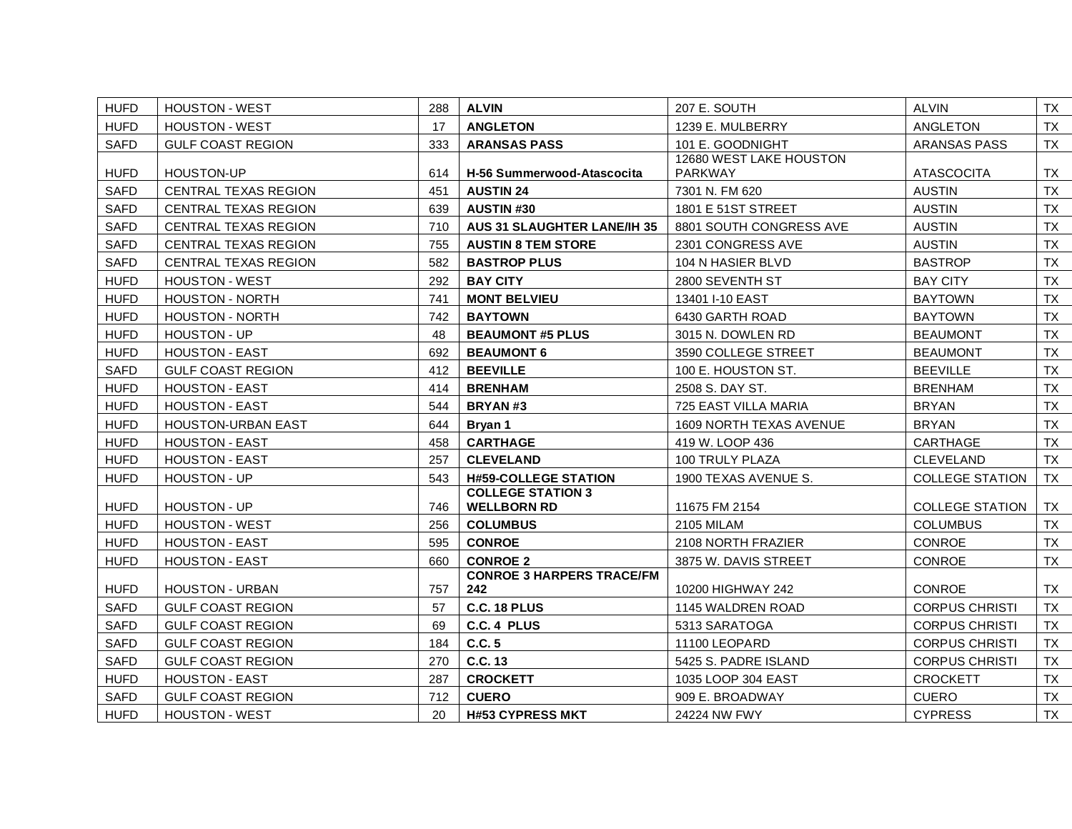| <b>HUFD</b> | <b>HOUSTON - WEST</b>       | 288 | <b>ALVIN</b>                            | 207 E. SOUTH            | <b>ALVIN</b>           | TX        |
|-------------|-----------------------------|-----|-----------------------------------------|-------------------------|------------------------|-----------|
| <b>HUFD</b> | <b>HOUSTON - WEST</b>       | 17  | <b>ANGLETON</b>                         | 1239 E. MULBERRY        | ANGLETON               | TX        |
| <b>SAFD</b> | <b>GULF COAST REGION</b>    | 333 | <b>ARANSAS PASS</b>                     | 101 E. GOODNIGHT        | <b>ARANSAS PASS</b>    | TX        |
|             |                             |     |                                         | 12680 WEST LAKE HOUSTON |                        |           |
| <b>HUFD</b> | <b>HOUSTON-UP</b>           | 614 | <b>H-56 Summerwood-Atascocita</b>       | <b>PARKWAY</b>          | <b>ATASCOCITA</b>      | TX        |
| <b>SAFD</b> | CENTRAL TEXAS REGION        | 451 | <b>AUSTIN 24</b>                        | 7301 N. FM 620          | <b>AUSTIN</b>          | <b>TX</b> |
| <b>SAFD</b> | <b>CENTRAL TEXAS REGION</b> | 639 | <b>AUSTIN#30</b>                        | 1801 E 51ST STREET      | <b>AUSTIN</b>          | <b>TX</b> |
| <b>SAFD</b> | CENTRAL TEXAS REGION        | 710 | <b>AUS 31 SLAUGHTER LANE/IH 35</b>      | 8801 SOUTH CONGRESS AVE | <b>AUSTIN</b>          | <b>TX</b> |
| <b>SAFD</b> | <b>CENTRAL TEXAS REGION</b> | 755 | <b>AUSTIN 8 TEM STORE</b>               | 2301 CONGRESS AVE       | <b>AUSTIN</b>          | <b>TX</b> |
| <b>SAFD</b> | CENTRAL TEXAS REGION        | 582 | <b>BASTROP PLUS</b>                     | 104 N HASIER BLVD       | <b>BASTROP</b>         | <b>TX</b> |
| <b>HUFD</b> | <b>HOUSTON - WEST</b>       | 292 | <b>BAY CITY</b>                         | 2800 SEVENTH ST         | <b>BAY CITY</b>        | <b>TX</b> |
| <b>HUFD</b> | <b>HOUSTON - NORTH</b>      | 741 | <b>MONT BELVIEU</b>                     | 13401 I-10 EAST         | <b>BAYTOWN</b>         | TX        |
| <b>HUFD</b> | <b>HOUSTON - NORTH</b>      | 742 | <b>BAYTOWN</b>                          | 6430 GARTH ROAD         | <b>BAYTOWN</b>         | <b>TX</b> |
| <b>HUFD</b> | HOUSTON - UP                | 48  | <b>BEAUMONT #5 PLUS</b>                 | 3015 N. DOWLEN RD       | <b>BEAUMONT</b>        | TX        |
| <b>HUFD</b> | <b>HOUSTON - EAST</b>       | 692 | <b>BEAUMONT 6</b>                       | 3590 COLLEGE STREET     | <b>BEAUMONT</b>        | <b>TX</b> |
| <b>SAFD</b> | <b>GULF COAST REGION</b>    | 412 | <b>BEEVILLE</b>                         | 100 E. HOUSTON ST.      | <b>BEEVILLE</b>        | <b>TX</b> |
| <b>HUFD</b> | <b>HOUSTON - EAST</b>       | 414 | <b>BRENHAM</b>                          | 2508 S. DAY ST.         | <b>BRENHAM</b>         | <b>TX</b> |
| <b>HUFD</b> | <b>HOUSTON - EAST</b>       | 544 | BRYAN#3                                 | 725 EAST VILLA MARIA    | <b>BRYAN</b>           | <b>TX</b> |
| <b>HUFD</b> | <b>HOUSTON-URBAN EAST</b>   | 644 | Bryan 1                                 | 1609 NORTH TEXAS AVENUE | <b>BRYAN</b>           | <b>TX</b> |
| <b>HUFD</b> | <b>HOUSTON - EAST</b>       | 458 | <b>CARTHAGE</b>                         | 419 W. LOOP 436         | CARTHAGE               | TX        |
| <b>HUFD</b> | <b>HOUSTON - EAST</b>       | 257 | <b>CLEVELAND</b>                        | 100 TRULY PLAZA         | <b>CLEVELAND</b>       | TX        |
| <b>HUFD</b> | HOUSTON - UP                | 543 | <b>H#59-COLLEGE STATION</b>             | 1900 TEXAS AVENUE S.    | <b>COLLEGE STATION</b> | TX        |
|             |                             |     | <b>COLLEGE STATION 3</b>                |                         |                        |           |
| <b>HUFD</b> | <b>HOUSTON - UP</b>         | 746 | <b>WELLBORN RD</b>                      | 11675 FM 2154           | <b>COLLEGE STATION</b> | TX        |
| <b>HUFD</b> | <b>HOUSTON - WEST</b>       | 256 | <b>COLUMBUS</b>                         | <b>2105 MILAM</b>       | <b>COLUMBUS</b>        | TX        |
| <b>HUFD</b> | <b>HOUSTON - EAST</b>       | 595 | <b>CONROE</b>                           | 2108 NORTH FRAZIER      | <b>CONROE</b>          | TX        |
| <b>HUFD</b> | <b>HOUSTON - EAST</b>       | 660 | <b>CONROE 2</b>                         | 3875 W. DAVIS STREET    | CONROE                 | <b>TX</b> |
| <b>HUFD</b> | <b>HOUSTON - URBAN</b>      | 757 | <b>CONROE 3 HARPERS TRACE/FM</b><br>242 | 10200 HIGHWAY 242       | <b>CONROE</b>          | TX        |
| <b>SAFD</b> | <b>GULF COAST REGION</b>    | 57  | <b>C.C. 18 PLUS</b>                     | 1145 WALDREN ROAD       | <b>CORPUS CHRISTI</b>  | TX        |
| <b>SAFD</b> | GULF COAST REGION           | 69  | C.C. 4 PLUS                             | 5313 SARATOGA           | <b>CORPUS CHRISTI</b>  | <b>TX</b> |
| <b>SAFD</b> | <b>GULF COAST REGION</b>    | 184 | C.C.5                                   | 11100 LEOPARD           | <b>CORPUS CHRISTI</b>  |           |
|             |                             |     |                                         |                         |                        | TX        |
| <b>SAFD</b> | <b>GULF COAST REGION</b>    | 270 | C.C. 13                                 | 5425 S. PADRE ISLAND    | <b>CORPUS CHRISTI</b>  | TX        |
| <b>HUFD</b> | <b>HOUSTON - EAST</b>       | 287 | <b>CROCKETT</b>                         | 1035 LOOP 304 EAST      | <b>CROCKETT</b>        | TX        |
| <b>SAFD</b> | <b>GULF COAST REGION</b>    | 712 | <b>CUERO</b>                            | 909 E. BROADWAY         | <b>CUERO</b>           | <b>TX</b> |
| <b>HUFD</b> | <b>HOUSTON - WEST</b>       | 20  | <b>H#53 CYPRESS MKT</b>                 | 24224 NW FWY            | <b>CYPRESS</b>         | <b>TX</b> |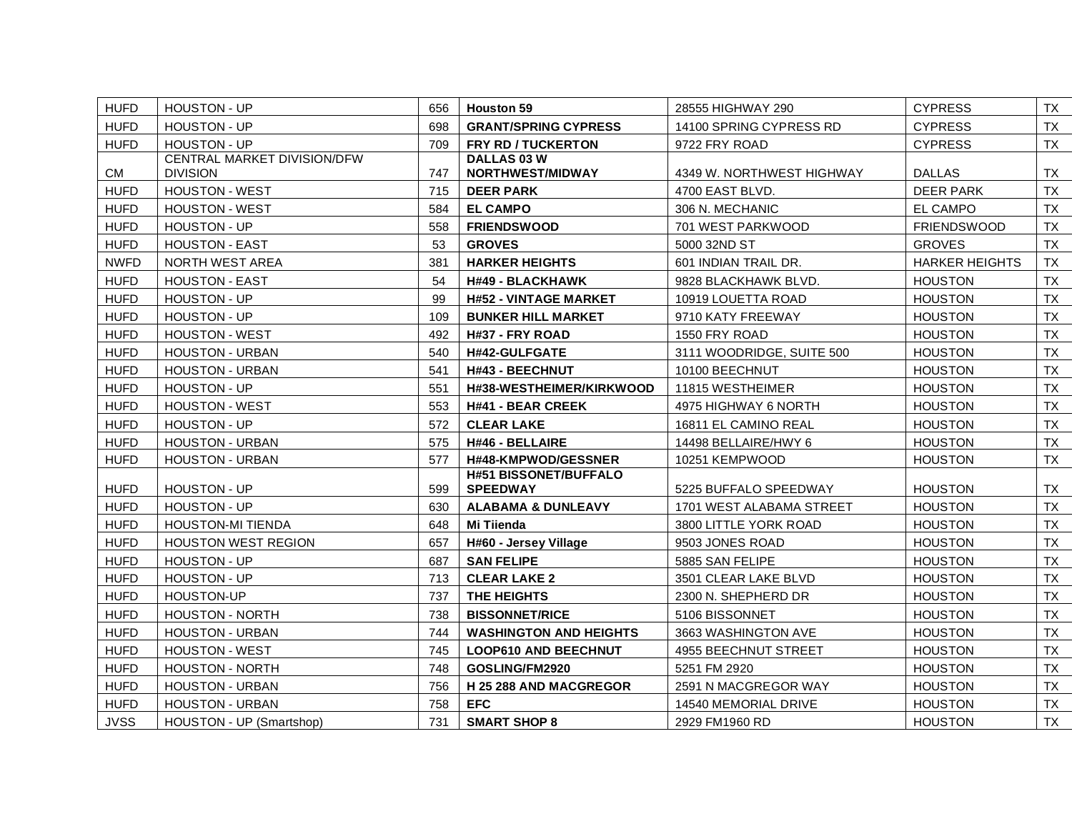| <b>HUFD</b> | <b>HOUSTON - UP</b>         | 656 | <b>Houston 59</b>             | 28555 HIGHWAY 290         | <b>CYPRESS</b>        | TX        |
|-------------|-----------------------------|-----|-------------------------------|---------------------------|-----------------------|-----------|
| <b>HUFD</b> | <b>HOUSTON - UP</b>         | 698 | <b>GRANT/SPRING CYPRESS</b>   | 14100 SPRING CYPRESS RD   | <b>CYPRESS</b>        | TX        |
| <b>HUFD</b> | <b>HOUSTON - UP</b>         | 709 | <b>FRY RD / TUCKERTON</b>     | 9722 FRY ROAD             | <b>CYPRESS</b>        | TX        |
|             | CENTRAL MARKET DIVISION/DFW |     | DALLAS 03 W                   |                           |                       |           |
| CM          | <b>DIVISION</b>             | 747 | NORTHWEST/MIDWAY              | 4349 W. NORTHWEST HIGHWAY | <b>DALLAS</b>         | TX        |
| <b>HUFD</b> | <b>HOUSTON - WEST</b>       | 715 | <b>DEER PARK</b>              | 4700 EAST BLVD.           | <b>DEER PARK</b>      | TX        |
| <b>HUFD</b> | <b>HOUSTON - WEST</b>       | 584 | <b>EL CAMPO</b>               | 306 N. MECHANIC           | <b>EL CAMPO</b>       | TX        |
| <b>HUFD</b> | HOUSTON - UP                | 558 | <b>FRIENDSWOOD</b>            | 701 WEST PARKWOOD         | <b>FRIENDSWOOD</b>    | TX        |
| <b>HUFD</b> | <b>HOUSTON - EAST</b>       | 53  | <b>GROVES</b>                 | 5000 32ND ST              | <b>GROVES</b>         | <b>TX</b> |
| <b>NWFD</b> | <b>NORTH WEST AREA</b>      | 381 | <b>HARKER HEIGHTS</b>         | 601 INDIAN TRAIL DR.      | <b>HARKER HEIGHTS</b> | TX        |
| <b>HUFD</b> | <b>HOUSTON - EAST</b>       | 54  | <b>H#49 - BLACKHAWK</b>       | 9828 BLACKHAWK BLVD.      | <b>HOUSTON</b>        | TX        |
| <b>HUFD</b> | HOUSTON - UP                | 99  | <b>H#52 - VINTAGE MARKET</b>  | 10919 LOUETTA ROAD        | <b>HOUSTON</b>        | TX        |
| <b>HUFD</b> | HOUSTON - UP                | 109 | <b>BUNKER HILL MARKET</b>     | 9710 KATY FREEWAY         | <b>HOUSTON</b>        | TX        |
| <b>HUFD</b> | <b>HOUSTON - WEST</b>       | 492 | H#37 - FRY ROAD               | 1550 FRY ROAD             | <b>HOUSTON</b>        | TX        |
| <b>HUFD</b> | <b>HOUSTON - URBAN</b>      | 540 | H#42-GULFGATE                 | 3111 WOODRIDGE, SUITE 500 | <b>HOUSTON</b>        | TX        |
| <b>HUFD</b> | <b>HOUSTON - URBAN</b>      | 541 | H#43 - BEECHNUT               | 10100 BEECHNUT            | <b>HOUSTON</b>        | TX        |
| <b>HUFD</b> | <b>HOUSTON - UP</b>         | 551 | H#38-WESTHEIMER/KIRKWOOD      | 11815 WESTHEIMER          | <b>HOUSTON</b>        | <b>TX</b> |
| <b>HUFD</b> | <b>HOUSTON - WEST</b>       | 553 | <b>H#41 - BEAR CREEK</b>      | 4975 HIGHWAY 6 NORTH      | <b>HOUSTON</b>        | TX        |
| <b>HUFD</b> | <b>HOUSTON - UP</b>         | 572 | <b>CLEAR LAKE</b>             | 16811 EL CAMINO REAL      | <b>HOUSTON</b>        | TX        |
| <b>HUFD</b> | <b>HOUSTON - URBAN</b>      | 575 | H#46 - BELLAIRE               | 14498 BELLAIRE/HWY 6      | <b>HOUSTON</b>        | <b>TX</b> |
| <b>HUFD</b> | <b>HOUSTON - URBAN</b>      | 577 | <b>H#48-KMPWOD/GESSNER</b>    | 10251 KEMPWOOD            | <b>HOUSTON</b>        | TX        |
|             |                             |     | <b>H#51 BISSONET/BUFFALO</b>  |                           |                       |           |
| <b>HUFD</b> | <b>HOUSTON - UP</b>         | 599 | <b>SPEEDWAY</b>               | 5225 BUFFALO SPEEDWAY     | <b>HOUSTON</b>        | TX        |
| <b>HUFD</b> | <b>HOUSTON - UP</b>         | 630 | <b>ALABAMA &amp; DUNLEAVY</b> | 1701 WEST ALABAMA STREET  | <b>HOUSTON</b>        | <b>TX</b> |
| <b>HUFD</b> | <b>HOUSTON-MI TIENDA</b>    | 648 | Mi Tiienda                    | 3800 LITTLE YORK ROAD     | <b>HOUSTON</b>        | TX        |
| <b>HUFD</b> | <b>HOUSTON WEST REGION</b>  | 657 | H#60 - Jersey Village         | 9503 JONES ROAD           | <b>HOUSTON</b>        | TX        |
| <b>HUFD</b> | <b>HOUSTON - UP</b>         | 687 | <b>SAN FELIPE</b>             | 5885 SAN FELIPE           | <b>HOUSTON</b>        | <b>TX</b> |
| <b>HUFD</b> | <b>HOUSTON - UP</b>         | 713 | <b>CLEAR LAKE 2</b>           | 3501 CLEAR LAKE BLVD      | <b>HOUSTON</b>        | TX        |
| <b>HUFD</b> | <b>HOUSTON-UP</b>           | 737 | THE HEIGHTS                   | 2300 N. SHEPHERD DR       | <b>HOUSTON</b>        | TX        |
| <b>HUFD</b> | HOUSTON - NORTH             | 738 | <b>BISSONNET/RICE</b>         | 5106 BISSONNET            | <b>HOUSTON</b>        | <b>TX</b> |
| <b>HUFD</b> | <b>HOUSTON - URBAN</b>      | 744 | <b>WASHINGTON AND HEIGHTS</b> | 3663 WASHINGTON AVE       | <b>HOUSTON</b>        | TX        |
| <b>HUFD</b> | <b>HOUSTON - WEST</b>       | 745 | <b>LOOP610 AND BEECHNUT</b>   | 4955 BEECHNUT STREET      | <b>HOUSTON</b>        | TX        |
| <b>HUFD</b> | <b>HOUSTON - NORTH</b>      | 748 | GOSLING/FM2920                | 5251 FM 2920              | <b>HOUSTON</b>        | <b>TX</b> |
| <b>HUFD</b> | HOUSTON - URBAN             | 756 | H 25 288 AND MACGREGOR        | 2591 N MACGREGOR WAY      | <b>HOUSTON</b>        | TX        |
| <b>HUFD</b> | <b>HOUSTON - URBAN</b>      | 758 | <b>EFC</b>                    | 14540 MEMORIAL DRIVE      | <b>HOUSTON</b>        | TX        |
| <b>JVSS</b> | HOUSTON - UP (Smartshop)    | 731 | <b>SMART SHOP 8</b>           | 2929 FM1960 RD            | <b>HOUSTON</b>        | <b>TX</b> |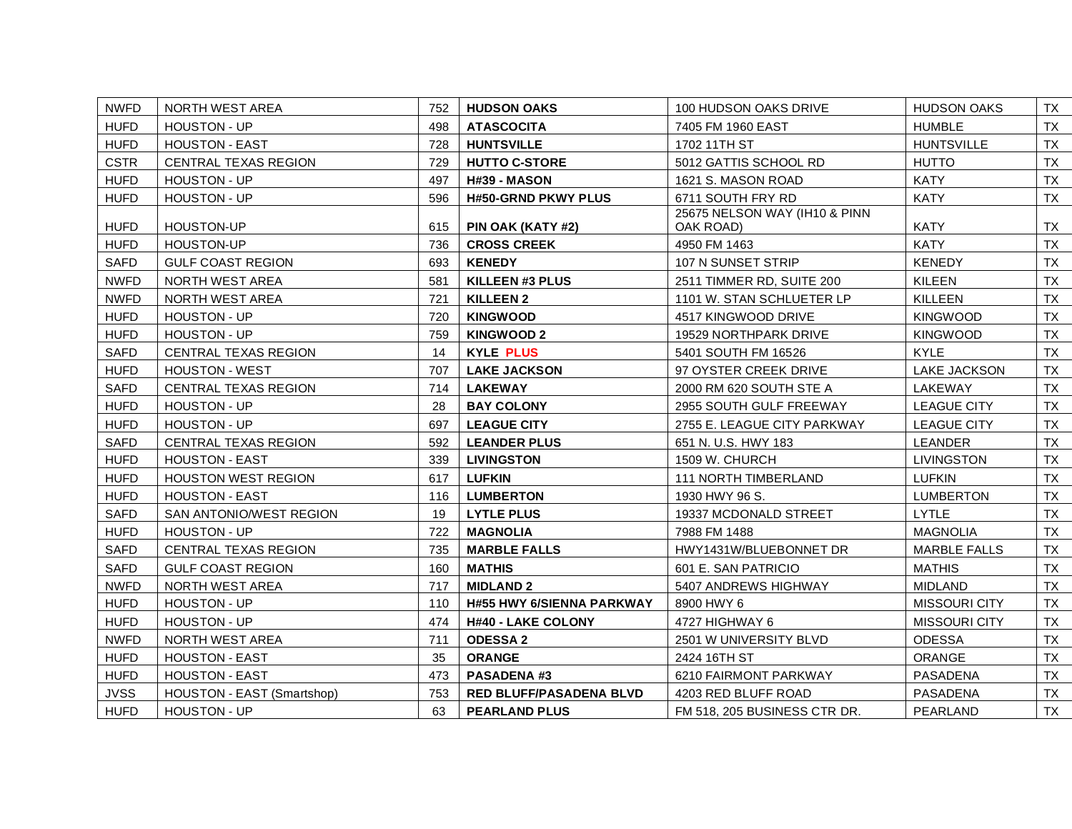| <b>NWFD</b> | NORTH WEST AREA             | 752 | <b>HUDSON OAKS</b>               | 100 HUDSON OAKS DRIVE                      | <b>HUDSON OAKS</b>   | TX        |
|-------------|-----------------------------|-----|----------------------------------|--------------------------------------------|----------------------|-----------|
| <b>HUFD</b> | <b>HOUSTON - UP</b>         | 498 | <b>ATASCOCITA</b>                | 7405 FM 1960 EAST                          | <b>HUMBLE</b>        | TX        |
| <b>HUFD</b> | <b>HOUSTON - EAST</b>       | 728 | <b>HUNTSVILLE</b>                | 1702 11TH ST                               | <b>HUNTSVILLE</b>    | TX        |
| <b>CSTR</b> | CENTRAL TEXAS REGION        | 729 | <b>HUTTO C-STORE</b>             | 5012 GATTIS SCHOOL RD                      | <b>HUTTO</b>         | TX .      |
| <b>HUFD</b> | HOUSTON - UP                | 497 | H#39 - MASON                     | 1621 S. MASON ROAD                         | <b>KATY</b>          | <b>TX</b> |
| <b>HUFD</b> | <b>HOUSTON - UP</b>         | 596 | <b>H#50-GRND PKWY PLUS</b>       | 6711 SOUTH FRY RD                          | <b>KATY</b>          | TX        |
| <b>HUFD</b> | <b>HOUSTON-UP</b>           | 615 | PIN OAK (KATY #2)                | 25675 NELSON WAY (IH10 & PINN<br>OAK ROAD) | <b>KATY</b>          | TX        |
| <b>HUFD</b> | HOUSTON-UP                  | 736 | <b>CROSS CREEK</b>               | 4950 FM 1463                               | <b>KATY</b>          | <b>TX</b> |
| <b>SAFD</b> | <b>GULF COAST REGION</b>    | 693 | <b>KENEDY</b>                    | 107 N SUNSET STRIP                         | <b>KENEDY</b>        | <b>TX</b> |
| <b>NWFD</b> | <b>NORTH WEST AREA</b>      | 581 | <b>KILLEEN #3 PLUS</b>           | 2511 TIMMER RD, SUITE 200                  | <b>KILEEN</b>        | TX        |
| <b>NWFD</b> | NORTH WEST AREA             | 721 | <b>KILLEEN 2</b>                 | 1101 W. STAN SCHLUETER LP                  | <b>KILLEEN</b>       | <b>TX</b> |
| <b>HUFD</b> | HOUSTON - UP                | 720 | <b>KINGWOOD</b>                  | 4517 KINGWOOD DRIVE                        | <b>KINGWOOD</b>      | <b>TX</b> |
| <b>HUFD</b> | <b>HOUSTON - UP</b>         | 759 | <b>KINGWOOD 2</b>                | 19529 NORTHPARK DRIVE                      | <b>KINGWOOD</b>      | TX        |
| <b>SAFD</b> | CENTRAL TEXAS REGION        | 14  | <b>KYLE PLUS</b>                 | 5401 SOUTH FM 16526                        | <b>KYLE</b>          | TX        |
| <b>HUFD</b> | <b>HOUSTON - WEST</b>       | 707 | <b>LAKE JACKSON</b>              | 97 OYSTER CREEK DRIVE                      | <b>LAKE JACKSON</b>  | TX        |
| <b>SAFD</b> | <b>CENTRAL TEXAS REGION</b> | 714 | <b>LAKEWAY</b>                   | 2000 RM 620 SOUTH STE A                    | LAKEWAY              | TX        |
| <b>HUFD</b> | HOUSTON - UP                | 28  | <b>BAY COLONY</b>                | 2955 SOUTH GULF FREEWAY                    | <b>LEAGUE CITY</b>   | TX        |
| <b>HUFD</b> | HOUSTON - UP                | 697 | <b>LEAGUE CITY</b>               | 2755 E. LEAGUE CITY PARKWAY                | <b>LEAGUE CITY</b>   | TX        |
| <b>SAFD</b> | <b>CENTRAL TEXAS REGION</b> | 592 | <b>LEANDER PLUS</b>              | 651 N. U.S. HWY 183                        | <b>LEANDER</b>       | <b>TX</b> |
| <b>HUFD</b> | <b>HOUSTON - EAST</b>       | 339 | <b>LIVINGSTON</b>                | 1509 W. CHURCH                             | <b>LIVINGSTON</b>    | TX        |
| <b>HUFD</b> | <b>HOUSTON WEST REGION</b>  | 617 | <b>LUFKIN</b>                    | 111 NORTH TIMBERLAND                       | <b>LUFKIN</b>        | <b>TX</b> |
| <b>HUFD</b> | <b>HOUSTON - EAST</b>       | 116 | <b>LUMBERTON</b>                 | 1930 HWY 96 S.                             | <b>LUMBERTON</b>     | TX        |
| <b>SAFD</b> | SAN ANTONIO/WEST REGION     | 19  | <b>LYTLE PLUS</b>                | 19337 MCDONALD STREET                      | <b>LYTLE</b>         | TX        |
| <b>HUFD</b> | <b>HOUSTON - UP</b>         | 722 | <b>MAGNOLIA</b>                  | 7988 FM 1488                               | <b>MAGNOLIA</b>      | <b>TX</b> |
| <b>SAFD</b> | <b>CENTRAL TEXAS REGION</b> | 735 | <b>MARBLE FALLS</b>              | HWY1431W/BLUEBONNET DR                     | <b>MARBLE FALLS</b>  | TX        |
| <b>SAFD</b> | <b>GULF COAST REGION</b>    | 160 | <b>MATHIS</b>                    | 601 E. SAN PATRICIO                        | <b>MATHIS</b>        | TX .      |
| <b>NWFD</b> | NORTH WEST AREA             | 717 | <b>MIDLAND 2</b>                 | 5407 ANDREWS HIGHWAY                       | <b>MIDLAND</b>       | <b>TX</b> |
| <b>HUFD</b> | <b>HOUSTON - UP</b>         | 110 | <b>H#55 HWY 6/SIENNA PARKWAY</b> | 8900 HWY 6                                 | <b>MISSOURI CITY</b> | TX        |
| <b>HUFD</b> | HOUSTON - UP                | 474 | <b>H#40 - LAKE COLONY</b>        | 4727 HIGHWAY 6                             | <b>MISSOURI CITY</b> | TX        |
| <b>NWFD</b> | NORTH WEST AREA             | 711 | <b>ODESSA 2</b>                  | 2501 W UNIVERSITY BLVD                     | <b>ODESSA</b>        | <b>TX</b> |
| <b>HUFD</b> | <b>HOUSTON - EAST</b>       | 35  | <b>ORANGE</b>                    | 2424 16TH ST                               | ORANGE               | TX        |
| <b>HUFD</b> | <b>HOUSTON - EAST</b>       | 473 | <b>PASADENA #3</b>               | 6210 FAIRMONT PARKWAY                      | PASADENA             | TX        |
| <b>JVSS</b> | HOUSTON - EAST (Smartshop)  | 753 | RED BLUFF/PASADENA BLVD          | 4203 RED BLUFF ROAD                        | PASADENA             | TX        |
| <b>HUFD</b> | <b>HOUSTON - UP</b>         | 63  | <b>PEARLAND PLUS</b>             | FM 518, 205 BUSINESS CTR DR.               | PEARLAND             | TX .      |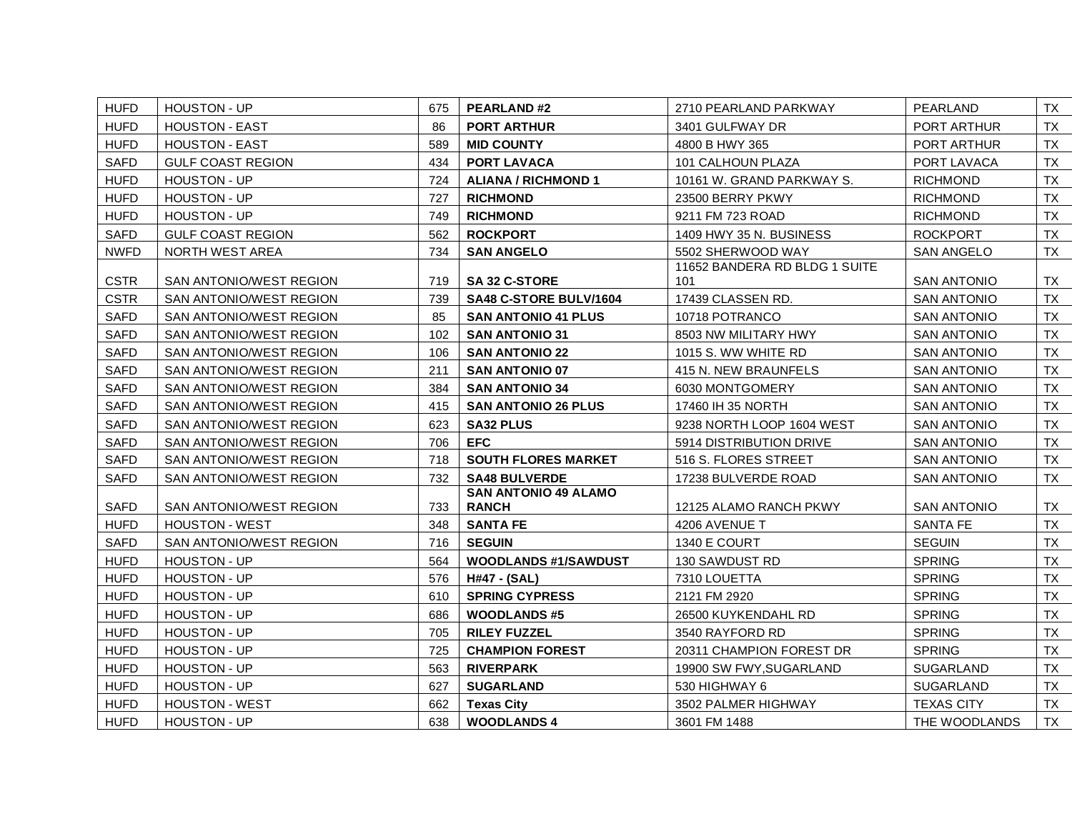| <b>HUFD</b> | HOUSTON - UP             | 675 | <b>PEARLAND#2</b>           | 2710 PEARLAND PARKWAY         | PEARLAND           | TX        |
|-------------|--------------------------|-----|-----------------------------|-------------------------------|--------------------|-----------|
| <b>HUFD</b> | <b>HOUSTON - EAST</b>    | 86  | <b>PORT ARTHUR</b>          | 3401 GULFWAY DR               | PORT ARTHUR        | TX        |
| <b>HUFD</b> | <b>HOUSTON - EAST</b>    | 589 | <b>MID COUNTY</b>           | 4800 B HWY 365                | PORT ARTHUR        | TX        |
| <b>SAFD</b> | <b>GULF COAST REGION</b> | 434 | <b>PORT LAVACA</b>          | 101 CALHOUN PLAZA             | PORT LAVACA        | TX        |
| <b>HUFD</b> | <b>HOUSTON - UP</b>      | 724 | <b>ALIANA / RICHMOND 1</b>  | 10161 W. GRAND PARKWAY S.     | <b>RICHMOND</b>    | TX        |
| <b>HUFD</b> | HOUSTON - UP             | 727 | <b>RICHMOND</b>             | 23500 BERRY PKWY              | <b>RICHMOND</b>    | TX        |
| <b>HUFD</b> | HOUSTON - UP             | 749 | <b>RICHMOND</b>             | 9211 FM 723 ROAD              | <b>RICHMOND</b>    | <b>TX</b> |
| <b>SAFD</b> | GULF COAST REGION        | 562 | <b>ROCKPORT</b>             | 1409 HWY 35 N. BUSINESS       | <b>ROCKPORT</b>    | TX        |
| <b>NWFD</b> | NORTH WEST AREA          | 734 | <b>SAN ANGELO</b>           | 5502 SHERWOOD WAY             | <b>SAN ANGELO</b>  | TX        |
|             |                          |     |                             | 11652 BANDERA RD BLDG 1 SUITE |                    |           |
| <b>CSTR</b> | SAN ANTONIO/WEST REGION  | 719 | <b>SA 32 C-STORE</b>        | 101                           | <b>SAN ANTONIO</b> | TX        |
| <b>CSTR</b> | SAN ANTONIO/WEST REGION  | 739 | SA48 C-STORE BULV/1604      | 17439 CLASSEN RD.             | <b>SAN ANTONIO</b> | TX        |
| <b>SAFD</b> | SAN ANTONIO/WEST REGION  | 85  | <b>SAN ANTONIO 41 PLUS</b>  | 10718 POTRANCO                | <b>SAN ANTONIO</b> | TX .      |
| <b>SAFD</b> | SAN ANTONIO/WEST REGION  | 102 | <b>SAN ANTONIO 31</b>       | 8503 NW MILITARY HWY          | <b>SAN ANTONIO</b> | TX        |
| <b>SAFD</b> | SAN ANTONIO/WEST REGION  | 106 | <b>SAN ANTONIO 22</b>       | 1015 S. WW WHITE RD           | <b>SAN ANTONIO</b> | TX        |
| <b>SAFD</b> | SAN ANTONIO/WEST REGION  | 211 | <b>SAN ANTONIO 07</b>       | 415 N. NEW BRAUNFELS          | <b>SAN ANTONIO</b> | TX        |
| <b>SAFD</b> | SAN ANTONIO/WEST REGION  | 384 | <b>SAN ANTONIO 34</b>       | 6030 MONTGOMERY               | <b>SAN ANTONIO</b> | TX        |
| <b>SAFD</b> | SAN ANTONIO/WEST REGION  | 415 | <b>SAN ANTONIO 26 PLUS</b>  | 17460 IH 35 NORTH             | <b>SAN ANTONIO</b> | TX        |
| <b>SAFD</b> | SAN ANTONIO/WEST REGION  | 623 | <b>SA32 PLUS</b>            | 9238 NORTH LOOP 1604 WEST     | <b>SAN ANTONIO</b> | TX        |
| <b>SAFD</b> | SAN ANTONIO/WEST REGION  | 706 | <b>EFC</b>                  | 5914 DISTRIBUTION DRIVE       | <b>SAN ANTONIO</b> | TX        |
| <b>SAFD</b> | SAN ANTONIO/WEST REGION  | 718 | <b>SOUTH FLORES MARKET</b>  | 516 S. FLORES STREET          | <b>SAN ANTONIO</b> | TX        |
| <b>SAFD</b> | SAN ANTONIO/WEST REGION  | 732 | <b>SA48 BULVERDE</b>        | 17238 BULVERDE ROAD           | <b>SAN ANTONIO</b> | TX        |
|             |                          |     | <b>SAN ANTONIO 49 ALAMO</b> |                               |                    |           |
| <b>SAFD</b> | SAN ANTONIO/WEST REGION  | 733 | <b>RANCH</b>                | 12125 ALAMO RANCH PKWY        | SAN ANTONIO        | TX        |
| <b>HUFD</b> | <b>HOUSTON - WEST</b>    | 348 | <b>SANTA FE</b>             | 4206 AVENUE T                 | <b>SANTA FE</b>    | <b>TX</b> |
| <b>SAFD</b> | SAN ANTONIO/WEST REGION  | 716 | <b>SEGUIN</b>               | 1340 E COURT                  | <b>SEGUIN</b>      | <b>TX</b> |
| <b>HUFD</b> | HOUSTON - UP             | 564 | <b>WOODLANDS #1/SAWDUST</b> | 130 SAWDUST RD                | <b>SPRING</b>      | <b>TX</b> |
| <b>HUFD</b> | HOUSTON - UP             | 576 | H#47 - (SAL)                | 7310 LOUETTA                  | <b>SPRING</b>      | TX .      |
| <b>HUFD</b> | <b>HOUSTON - UP</b>      | 610 | <b>SPRING CYPRESS</b>       | 2121 FM 2920                  | <b>SPRING</b>      | TX        |
| <b>HUFD</b> | HOUSTON - UP             | 686 | <b>WOODLANDS#5</b>          | 26500 KUYKENDAHL RD           | <b>SPRING</b>      | TX        |
| <b>HUFD</b> | <b>HOUSTON - UP</b>      | 705 | <b>RILEY FUZZEL</b>         | 3540 RAYFORD RD               | <b>SPRING</b>      | TX        |
| <b>HUFD</b> | <b>HOUSTON - UP</b>      | 725 | <b>CHAMPION FOREST</b>      | 20311 CHAMPION FOREST DR      | <b>SPRING</b>      | TX        |
| <b>HUFD</b> | HOUSTON - UP             | 563 | <b>RIVERPARK</b>            | 19900 SW FWY, SUGARLAND       | SUGARLAND          | TX        |
| <b>HUFD</b> | <b>HOUSTON - UP</b>      | 627 | <b>SUGARLAND</b>            | 530 HIGHWAY 6                 | SUGARLAND          | TX        |
| <b>HUFD</b> | <b>HOUSTON - WEST</b>    | 662 | <b>Texas City</b>           | 3502 PALMER HIGHWAY           | <b>TEXAS CITY</b>  | TX        |
| <b>HUFD</b> | <b>HOUSTON - UP</b>      | 638 | <b>WOODLANDS 4</b>          | 3601 FM 1488                  | THE WOODLANDS      | <b>TX</b> |